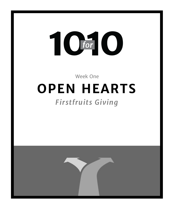# T C for

Week One

## **OPEN HEARTS**

## *Firstfruits Giving*

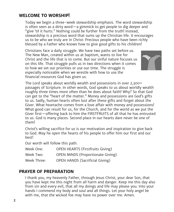#### **WELCOME TO WORSHIP!**

Today we begin a three-week stewardship emphasis. The word stewardship is often seen as a dirty word—a gimmick to get people to dig deeper and "give 'til it hurts." Nothing could be further from the truth! Instead, stewardship is a precious word that sums up the Christian life. It encourages us to be who we truly are in Christ: Precious people who have been richly blessed by a Father who knows how to give good gifts to his children!

Christians face a daily struggle. We have two paths set before us. The New Man, created within us at baptism, wants to live for Christ and the life that is to come. But our sinful nature focuses us on this life. That struggle pulls us in two directions when it comes to how we set our priorities or use our time. The struggle is especially noticeable when we wrestle with how to use the financial resources God has given us.



The Lord speaks about worldly wealth and possessions in over 2,300+ passages of Scripture. In other words, God speaks to us about worldly wealth roughly three times more often than he does about faith! Why? So that God can get to the "heart of the matter." Money and possessions are God's gifts to us. Sadly, human hearts often lust after these gifts and forget about the Giver. What heartache comes from a love affair with money and possessions! What good can result for us, for the Church, and for the world as we put the Giver first—offering back to him the FIRSTFRUITS of all that he has entrusted to us. God is many places. Second place in our hearts dare never be one of them!

Christ's willing sacrifice for us is our motivation and inspiration to give back to God. May he open the hearts of his people to offer him our first and our best!

Our worth will follow this path.

| Week One:   | <b>OPEN HEARTS (Firstfruits Giving)</b>  |
|-------------|------------------------------------------|
| Week Two:   | <b>OPEN MINDS (Proportionate Giving)</b> |
| Week Three: | <b>OPEN HANDS (Sacrificial Giving)</b>   |

### **PRAYER OF PREPARATION**

I thank you, my heavenly Father, through Jesus Christ, your dear Son, that you have kept me this night from all harm and danger. Keep me this day also from sin and every evil, that all my doings and life may please you. Into your hands I commend my body and soul and all things. Let your holy angel be with me, that the wicked foe may have no power over me. Amen.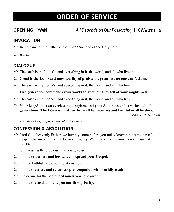## **ORDER OF SERVICE**

**OPENING HYMN** *All Depends on Our Possessing* | **CW421:1-4**

#### **INVOCATION**

- M: In the name of the Father and of the  $\ddagger$  Son and of the Holy Spirit.
- **C: Amen.**

## **DIALOGUE**

- M: The earth is the LORD's, and everything in it, the world, and all who live in it.
- **C:** Great is the LORD and most worthy of praise; his greatness no one can fathom.
- M: The earth is the LORD's, and everything in it, the world, and all who live in it.
- **C: One generation commends your works to another; they tell of your mighty acts.**
- M: The earth is the LORD's, and everything in it, the world, and all who live in it.
- **C: Your kingdom is an everlasting kingdom, and your dominion endures through all generations. The Lord is trustworthy in all he promises and faithful in all he does.**

*Psalm 24:1; 145:1,3,4,13*

*The rite of Holy Baptism may take place here.*

## **CONFESSION & ABSOLUTION**

M: Lord God, heavenly Father, we humbly come before you today knowing that we have failed to speak lovingly, think purely, or act rightly. We have sinned against you and against others…

…in wasting the precious time you give us.

- **C: ...in our slowness and hesitancy to spread your Gospel.**
- M: ...in the faithful care of our relationships.
- **C: ...in our restless and relentless preoccupation with worldly wealth.**
- M: ...in caring for the bodies and minds you have given us.
- **C: ...in our refusal to make you our first priority.**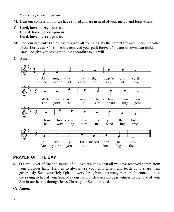*Silence for personal reflection*

- M: Hear our confession, for we have sinned and are in need of your mercy and forgiveness.
- **C: Lord, have mercy upon us. Christ, have mercy upon us. Lord, have mercy upon us.**
- M: God, our heavenly Father, has forgiven all your sins. By the perfect life and innocent death of our Lord Jesus Christ, he has removed your guilt forever. You are his own dear child. May God give you strength to live according to his will.
- **C: Amen.**



#### **PRAYER OF THE DAY**

- M: O Lord, giver of life and source of all love, we know that all we have received comes from your gracious hand. Help us to always use your gifts wisely and teach us to share them generously. Send your Holy Spirit to work through us, that many more might come to know the saving riches of your Son. May our faithful stewardship bear witness to the love of your Son in our hearts, through Jesus Christ, your Son, our Lord.
- **C: Amen.**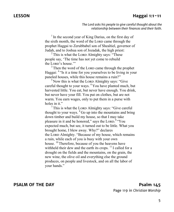#### **LESSON Haggai 1:1-11**

*The Lord asks his people to give careful thought about the relationship between their finances and their faith.*

<sup>1</sup> In the second year of King Darius, on the first day of the sixth month, the word of the LORD came through the prophet Haggai to Zerubbabel son of Shealtiel, governor of Judah, and to Joshua son of Jozadak, the high priest:

 $2$  This is what the LORD Almighty says: "These people say, 'The time has not yet come to rebuild the Lorp's house.""

 $3$  Then the word of the LORD came through the prophet Haggai: <sup>4</sup> "Is it a time for you yourselves to be living in your paneled houses, while this house remains a ruin?"

 $<sup>5</sup>$  Now this is what the LORD Almighty says: "Give"</sup> careful thought to your ways. <sup>6</sup> You have planted much, but harvested little. You eat, but never have enough. You drink, but never have your fill. You put on clothes, but are not warm. You earn wages, only to put them in a purse with holes in it."

 $7$  This is what the LORD Almighty says: "Give careful thought to your ways. <sup>8</sup> Go up into the mountains and bring down timber and build my house, so that I may take pleasure in it and be honored," says the LORD.<sup>9</sup> "You expected much, but see, it turned out to be little. What you brought home, I blew away. Why?" declares the Lord Almighty. "Because of my house, which remains a ruin, while each of you is busy with your own house.  $^{10}$  Therefore, because of you the heavens have withheld their dew and the earth its crops.  $^{11}$  I called for a drought on the fields and the mountains, on the grain, the new wine, the olive oil and everything else the ground produces, on people and livestock, and on all the labor of your hands."

#### **PSALM OF THE DAY Psalm 145** Page 119 in *Christian Worship*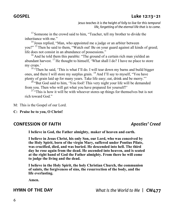#### **GOSPEL Luke 12:13-21**

*Jesus teaches it is the height of folly to live for this temporal life, forgetting of the eternal life that is to come.*

 $13$  Someone in the crowd said to him, "Teacher, tell my brother to divide the inheritance with me."

<sup>14</sup> Jesus replied, "Man, who appointed me a judge or an arbiter between you?"<sup>15</sup> Then he said to them, "Watch out! Be on your guard against all kinds of greed; life does not consist in an abundance of possessions."

 $16$  And he told them this parable: "The ground of a certain rich man yielded an abundant harvest. <sup>17</sup> He thought to himself, 'What shall I do? I have no place to store my crops.'

<sup>18</sup> "Then he said, 'This is what I'll do. I will tear down my barns and build bigger ones, and there I will store my surplus grain. <sup>19</sup> And I'll say to myself, "You have plenty of grain laid up for many years. Take life easy; eat, drink and be merry."'

 $20$  "But God said to him, 'You fool! This very night your life will be demanded from you. Then who will get what you have prepared for yourself?'

 $21$  "This is how it will be with whoever stores up things for themselves but is not rich toward God."

M: This is the Gospel of our Lord.

**C: Praise be to you, O Christ!**

#### **CONFESSION OF FAITH** *Apostles' Creed*

**I believe in God, the Father almighty, maker of heaven and earth.**

**I believe in Jesus Christ, his only Son, our Lord, who was conceived by the Holy Spirit, born of the virgin Mary, suffered under Pontius Pilate, was crucified, died, and was buried. He descended into hell. The third day he rose again from the dead. He ascended into heaven, and is seated at the right hand of God the Father almighty. From there he will come to judge the living and the dead.**

**I believe in the Holy Spirit, the holy Christian Church, the communion of saints, the forgiveness of sins, the resurrection of the body, and the life everlasting.**

**Amen.**

**HYMN OF THE DAY** *What Is the World to Me* | **CW477**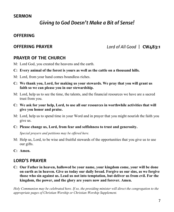#### **SERMON**

## *Giving to God Doesn't Make a Bit of Sense!*

#### **OFFERING**

**OFFERING PRAYER** *Lord of All Good* | **CW483:1**

#### **PRAYER OF THE CHURCH**

- M: Lord God, you created the heavens and the earth.
- **C: Every animal of the forest is yours as well as the cattle on a thousand hills.**
- M: Lord, from your hand comes boundless riches.
- **C: We thank you, Lord, for making us your stewards. We pray that you will grant us faith so we can please you in our stewardship.**
- M: Lord, help us to see the time, the talents, and the financial resources we have are a sacred trust from you.
- **C: We ask for your help, Lord, to use all our resources in worthwhile activities that will give you honor and praise.**
- M: Lord, help us to spend time in your Word and in prayer that you might nourish the faith you give us.
- **C: Please change us, Lord, from fear and selfishness to trust and generosity.**

*Special prayers and petitions may be offered here.*

- M: Help us, Lord, to be wise and fruitful stewards of the opportunities that you give us to use our gifts.
- **C: Amen.**

#### **LORD'S PRAYER**

**C: Our Father in heaven, hallowed be your name, your kingdom come, your will be done on earth as in heaven. Give us today our daily bread. Forgive us our sins, as we forgive those who sin against us. Lead us not into temptation, but deliver us from evil. For the kingdom, the power, and the glory are yours now and forever. Amen.**

*Holy Communion may be celebrated here. If so, the presiding minister will direct the congregation to the appropriate pages of Christian Worship or Christian Worship Supplement.*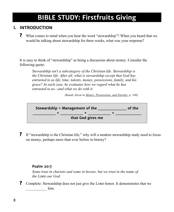## **BIBLE STUDY: Firstfruits Giving**

## **I. INTRODUCTION**

**?** What comes to mind when you hear the word "stewardship"? When you heard that we would be talking about stewardship for three weeks, what was your response?

It is easy to think of "stewardship" as being a discussion about money. Consider the following quote:

*Stewardship isn't a subcategory of the Christian life. Stewardship is the Christian life. After all, what is stewardship except that God has entrusted to us life, time, talents, money, possessions, family, and his grace? In each case, he evaluates how we regard what he has entrusted to us—and what we do with it.* 

*(Randy Alcon in Money, Possessions, and Eternity, p. 140)*



**?** If "stewardship is the Christian life," why will a modern stewardship study need to focus on money, perhaps more than ever before in history?

#### **Psalm 20:7**

*Some trust in chariots and some in horses, but we trust in the name of the Lord our God.* 

**?** Complete: Stewardship does not just give the LORD honor. It demonstrates that we him.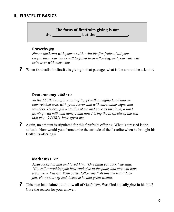#### **II. FIRSTFUIT BASICS**

**The focus of firstfruits giving is not the but the but the** 

#### **Proverbs 3:9**

*Honor the Lord with your wealth, with the firstfruits of all your crops; then your barns will be filled to overflowing, and your vats will brim over with new wine.*

**?** When God calls for firstfruits giving in that passage, what is the amount he asks for?

#### **Deuteronomy 26:8-10**

*So the LORD brought us out of Egypt with a mighty hand and an outstretched arm, with great terror and with miraculous signs and wonders. He brought us to this place and gave us this land, a land flowing with milk and honey; and now I bring the firstfruits of the soil that you, O LORD, have given me.*

**?** Again, no amount is stipulated for this firstfruits offering. What is stressed is the attitude. How would you characterize the attitude of the Israelite when he brought his firstfruits offerings?

#### **Mark 10:21-22**

*Jesus looked at him and loved him. "One thing you lack," he said. "Go, sell everything you have and give to the poor, and you will have treasure in heaven. Then come, follow me." At this the man's face fell. He went away sad, because he had great wealth.*

**?** This man had claimed to follow all of God's law. Was God actually *first* in his life? Give the reason for your answer.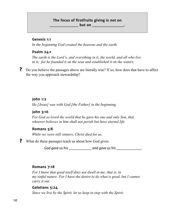#### **The focus of firstfruits giving is not on but on \_\_\_\_\_\_\_\_\_**

#### **Genesis 1:1**

*In the beginning God created the heavens and the earth.*

#### **Psalm 24:1**

*The earth is the Lord's, and everything in it, the world, and all who live in it; for he founded it on the seas and established it on the waters.* 

**?** Do you believe the passages above are literally true? If so, how does that have to affect the way you approach stewardship?

#### **John 1:2**

*He [Jesus] was with God [the Father] in the beginning.*

#### **John 3:16**

*For God so loved the world that he gave his one and only Son, that whoever believes in him shall not perish but have eternal life.* 

#### **Romans 5:8**

*While we were still sinners, Christ died for us.*

**?** What do these passages teach us about how God gives.

*God gave us his \_\_\_\_\_\_\_\_\_\_ and gave us his \_\_\_\_\_\_\_\_\_\_\_.*

#### **Romans 7:18**

*For I know that good itself does not dwell in me, that is, in my sinful nature. For I have the desire to do what is good, but I cannot carry it out.* 

#### **Galatians 5:24**

*Since we live by the Spirit, let us keep in step with the Spirit.*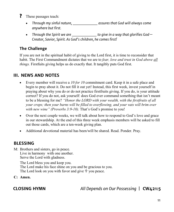- **?** These passages teach:
	- *Through my sinful nature, \_\_\_\_\_\_\_\_\_\_\_ assures that God will always come anywhere but first.*
	- *Through the Spirit we are \_\_\_\_\_\_\_\_\_\_\_ to give in a way that glorifies God— Creator, Savior, Spirit. As God's children, he comes first!*

## **The Challenge**

If you are not in the spiritual habit of giving to the Lord first, it is time to reconsider that habit. The First Commandment dictates that we are to *fear, love and trust in God above all things.* Firstfuits giving helps us do exactly that. It tangibly puts God first.

### **III. NEWS AND NOTES**

- Every member will receive a *10 for 10* commitment card. Keep it in a safe place and begin to pray about it. Do not fill it out yet! Instead, this first week, invest yourself in praying about why you do or do not practice firstfruits giving. If you do, is your attitude correct? If you do not, ask yourself: does God ever command something that isn't meant to be a blessing for me? *"Honor the LORD with your wealth, with the firstfruits of all your crops; then your barns will be filled to overflowing, and your vats will brim over with new wine" (Proverbs 3:9-10).* That's God's promise to you!
- Over the next couple weeks, we will talk about how to respond to God's love and grace in our stewardship. At the end of this three week emphasis members will be asked to fill out those cards, which are a ten-week giving plan.
- Additional devotional material has been/will be shared. Read. Ponder. Pray.

### **BLESSING**

M: Brothers and sisters, go in peace. Live in harmony with one another. Serve the Lord with gladness.

The Lord bless you and keep you. The Lord make his face shine on you and be gracious to you. The Lord look on you with favor and give  $\mathbb F$  you peace.

**C: Amen.**

**CLOSING HYMN** *All Depends on Our Possessing* | **CW421:5**